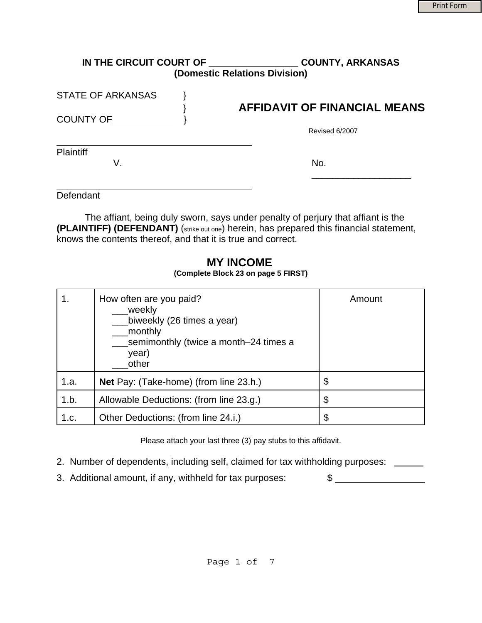| IN THE CIRCUIT COURT OF  | <b>COUNTY, ARKANSAS</b><br>(Domestic Relations Division) |
|--------------------------|----------------------------------------------------------|
| <b>STATE OF ARKANSAS</b> |                                                          |
| <b>COUNTY OF</b>         | <b>AFFIDAVIT OF FINANCIAL MEANS</b>                      |
|                          | Revised 6/2007                                           |
| <b>Plaintiff</b>         |                                                          |
| V.                       | No.                                                      |
|                          |                                                          |

Defendant

The affiant, being duly sworn, says under penalty of perjury that affiant is the **(PLAINTIFF) (DEFENDANT)** (strike out one) herein, has prepared this financial statement, knows the contents thereof, and that it is true and correct.

### **MY INCOME (Complete Block 23 on page 5 FIRST)**

|      | How often are you paid?<br>weekly<br>biweekly (26 times a year)<br>monthly<br>semimonthly (twice a month-24 times a<br>year)<br>other | Amount |
|------|---------------------------------------------------------------------------------------------------------------------------------------|--------|
| 1.a. | Net Pay: (Take-home) (from line 23.h.)                                                                                                | \$     |
| 1.b. | Allowable Deductions: (from line 23.g.)                                                                                               | \$     |
| 1.c. | Other Deductions: (from line 24.i.)                                                                                                   | \$     |

Please attach your last three (3) pay stubs to this affidavit.

- 2. Number of dependents, including self, claimed for tax withholding purposes: \_\_\_\_\_
- 3. Additional amount, if any, withheld for tax purposes:  $\qquad \qquad$  \$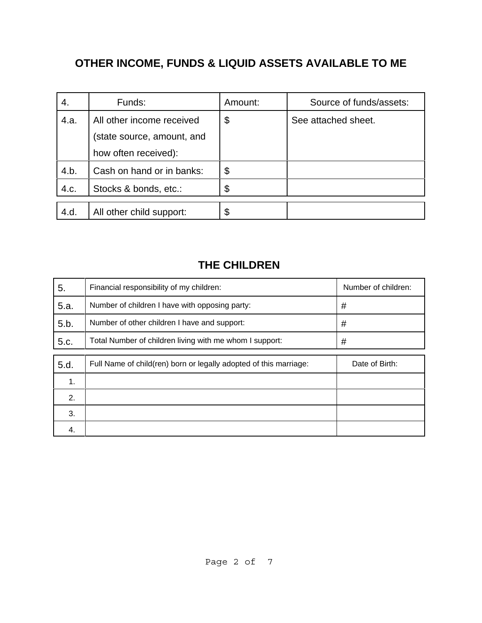# **OTHER INCOME, FUNDS & LIQUID ASSETS AVAILABLE TO ME**

| 4.   | Funds:                     | Amount: | Source of funds/assets: |
|------|----------------------------|---------|-------------------------|
| 4.a. | All other income received  | \$      | See attached sheet.     |
|      | (state source, amount, and |         |                         |
|      | how often received):       |         |                         |
| 4.b. | Cash on hand or in banks:  | \$      |                         |
| 4.c. | Stocks & bonds, etc.:      | \$      |                         |
|      |                            |         |                         |
| 4.d. | All other child support:   | \$      |                         |

### **THE CHILDREN**

| 5.   | Financial responsibility of my children:                          | Number of children: |
|------|-------------------------------------------------------------------|---------------------|
| 5.a. | Number of children I have with opposing party:                    | #                   |
| 5.b. | Number of other children I have and support:                      | #                   |
| 5.c. | Total Number of children living with me whom I support:           | #                   |
|      |                                                                   |                     |
| 5.d. | Full Name of child(ren) born or legally adopted of this marriage: | Date of Birth:      |
| 1.   |                                                                   |                     |
| 2.   |                                                                   |                     |
| 3.   |                                                                   |                     |
| 4.   |                                                                   |                     |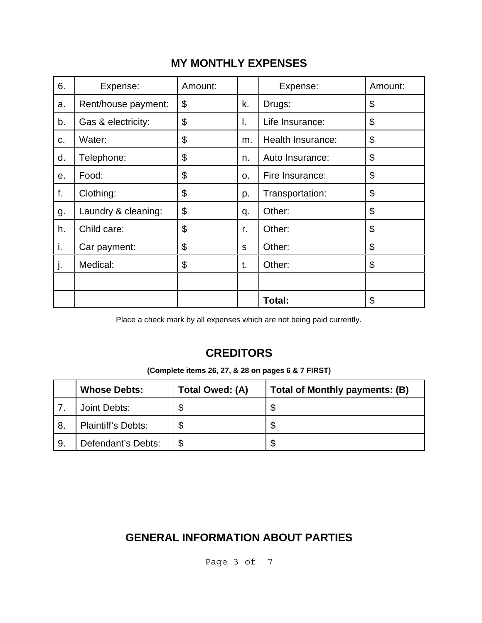## **MY MONTHLY EXPENSES**

| 6. | Expense:            | Amount: |                | Expense:          | Amount:                   |
|----|---------------------|---------|----------------|-------------------|---------------------------|
| a. | Rent/house payment: | \$      | k.             | Drugs:            | \$                        |
| b. | Gas & electricity:  | \$      | I.             | Life Insurance:   | \$                        |
| c. | Water:              | \$      | m.             | Health Insurance: | \$                        |
| d. | Telephone:          | \$      | n.             | Auto Insurance:   | $\boldsymbol{\mathsf{S}}$ |
| е. | Food:               | \$      | O <sub>1</sub> | Fire Insurance:   | \$                        |
| f. | Clothing:           | \$      | p.             | Transportation:   | \$                        |
| g. | Laundry & cleaning: | \$      | q.             | Other:            | \$                        |
| h. | Child care:         | \$      | r.             | Other:            | \$                        |
| i. | Car payment:        | \$      | S              | Other:            | \$                        |
| j. | Medical:            | \$      | t.             | Other:            | \$                        |
|    |                     |         |                |                   |                           |
|    |                     |         |                | Total:            | \$                        |

Place a check mark by all expenses which are not being paid currently.

## **CREDITORS**

| (Complete items 26, 27, & 28 on pages 6 & 7 FIRST) |  |  |  |
|----------------------------------------------------|--|--|--|
|----------------------------------------------------|--|--|--|

|     | <b>Whose Debts:</b>       | Total Owed: (A) | <b>Total of Monthly payments: (B)</b> |
|-----|---------------------------|-----------------|---------------------------------------|
|     | Joint Debts:              |                 | \$                                    |
| -8. | <b>Plaintiff's Debts:</b> |                 | \$                                    |
| 9.  | Defendant's Debts:        |                 | \$                                    |

## **GENERAL INFORMATION ABOUT PARTIES**

Page 3 of 7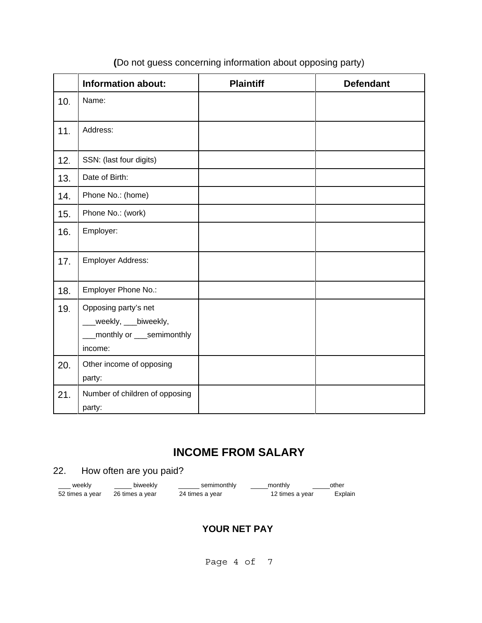|     | <b>Information about:</b>                                                            | <b>Plaintiff</b> | <b>Defendant</b> |
|-----|--------------------------------------------------------------------------------------|------------------|------------------|
| 10. | Name:                                                                                |                  |                  |
| 11. | Address:                                                                             |                  |                  |
| 12. | SSN: (last four digits)                                                              |                  |                  |
| 13. | Date of Birth:                                                                       |                  |                  |
| 14. | Phone No.: (home)                                                                    |                  |                  |
| 15. | Phone No.: (work)                                                                    |                  |                  |
| 16. | Employer:                                                                            |                  |                  |
| 17. | Employer Address:                                                                    |                  |                  |
| 18. | Employer Phone No.:                                                                  |                  |                  |
| 19. | Opposing party's net<br>_weekly, ___biweekly,<br>monthly or __semimonthly<br>income: |                  |                  |
| 20. | Other income of opposing<br>party:                                                   |                  |                  |
| 21. | Number of children of opposing<br>party:                                             |                  |                  |

### **(**Do not guess concerning information about opposing party)

## **INCOME FROM SALARY**

### 22. How often are you paid?

| ____ weekly     | biweekly        | semimonthly     | monthly         | other   |
|-----------------|-----------------|-----------------|-----------------|---------|
| 52 times a year | 26 times a year | 24 times a year | 12 times a year | Explain |

### **YOUR NET PAY**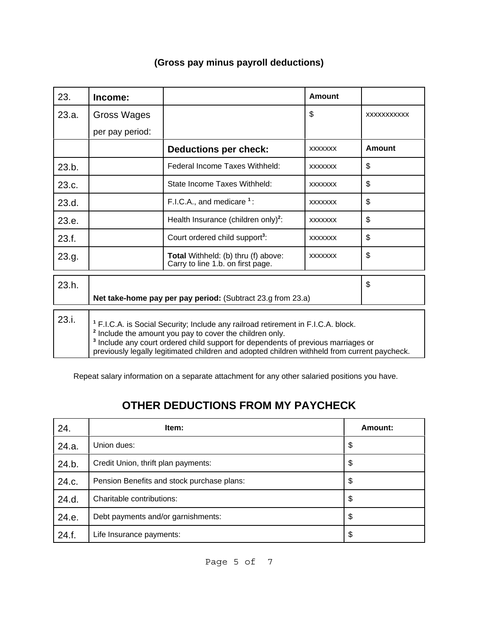| 23.   | Income:                                                                                                                                                                                                                                                                                                                                                             |                                                                          | <b>Amount</b>  |             |
|-------|---------------------------------------------------------------------------------------------------------------------------------------------------------------------------------------------------------------------------------------------------------------------------------------------------------------------------------------------------------------------|--------------------------------------------------------------------------|----------------|-------------|
| 23.a. | Gross Wages                                                                                                                                                                                                                                                                                                                                                         |                                                                          | \$             | XXXXXXXXXXX |
|       | per pay period:                                                                                                                                                                                                                                                                                                                                                     |                                                                          |                |             |
|       |                                                                                                                                                                                                                                                                                                                                                                     | <b>Deductions per check:</b>                                             | <b>XXXXXXX</b> | Amount      |
| 23.b. |                                                                                                                                                                                                                                                                                                                                                                     | Federal Income Taxes Withheld:                                           | <b>XXXXXXX</b> | \$          |
| 23.c. |                                                                                                                                                                                                                                                                                                                                                                     | State Income Taxes Withheld:                                             | <b>XXXXXXX</b> | \$          |
| 23.d. |                                                                                                                                                                                                                                                                                                                                                                     | F.I.C.A., and medicare $1$ :                                             | <b>XXXXXXX</b> | \$          |
| 23.e. |                                                                                                                                                                                                                                                                                                                                                                     | Health Insurance (children only) <sup>2</sup> :                          | <b>XXXXXXX</b> | \$          |
| 23.f. |                                                                                                                                                                                                                                                                                                                                                                     | Court ordered child support <sup>3</sup> :                               | <b>XXXXXXX</b> | \$          |
| 23.g. |                                                                                                                                                                                                                                                                                                                                                                     | Total Withheld: (b) thru (f) above:<br>Carry to line 1.b. on first page. | <b>XXXXXXX</b> | \$          |
| 23.h. |                                                                                                                                                                                                                                                                                                                                                                     |                                                                          |                | \$          |
|       |                                                                                                                                                                                                                                                                                                                                                                     | Net take-home pay per pay period: (Subtract 23.g from 23.a)              |                |             |
| 23.i. | <sup>1</sup> F.I.C.A. is Social Security; Include any railroad retirement in F.I.C.A. block.<br><sup>2</sup> Include the amount you pay to cover the children only.<br><sup>3</sup> Include any court ordered child support for dependents of previous marriages or<br>previously legally legitimated children and adopted children withheld from current paycheck. |                                                                          |                |             |

Repeat salary information on a separate attachment for any other salaried positions you have.

# **OTHER DEDUCTIONS FROM MY PAYCHECK**

| 24.   | Item:                                      | Amount: |
|-------|--------------------------------------------|---------|
| 24.a. | Union dues:                                | \$      |
| 24.b. | Credit Union, thrift plan payments:        | \$      |
| 24.c. | Pension Benefits and stock purchase plans: | \$      |
| 24.d. | Charitable contributions:                  | \$      |
| 24.e. | Debt payments and/or garnishments:         | \$      |
| 24.f. | Life Insurance payments:                   | \$      |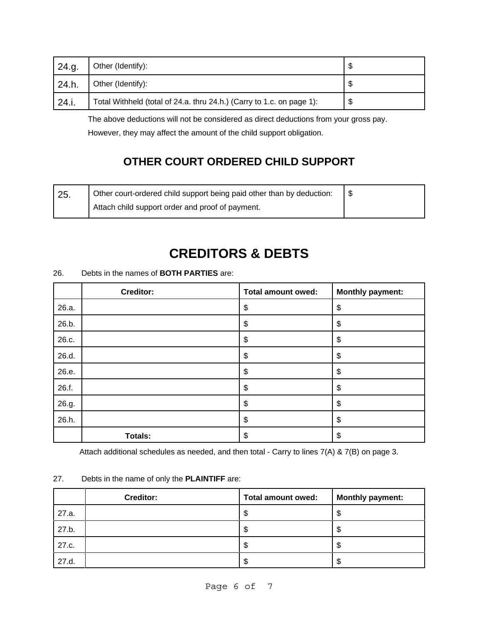| 24.g. | Other (Identify):                                                     | จ      |
|-------|-----------------------------------------------------------------------|--------|
| 24.h. | Other (Identify):                                                     | ጥ<br>J |
| 24.i. | Total Withheld (total of 24.a. thru 24.h.) (Carry to 1.c. on page 1): | \$     |

 The above deductions will not be considered as direct deductions from your gross pay. However, they may affect the amount of the child support obligation.

## **OTHER COURT ORDERED CHILD SUPPORT**

| 25. | Other court-ordered child support being paid other than by deduction: |  |
|-----|-----------------------------------------------------------------------|--|
|     | Attach child support order and proof of payment.                      |  |

# **CREDITORS & DEBTS**

|       | Creditor:      | <b>Total amount owed:</b> | <b>Monthly payment:</b> |
|-------|----------------|---------------------------|-------------------------|
| 26.a. |                | \$                        | \$                      |
| 26.b. |                | \$                        | \$                      |
| 26.c. |                | \$                        | \$                      |
| 26.d. |                | \$                        | \$                      |
| 26.e. |                | \$                        | \$                      |
| 26.f. |                | \$                        | \$                      |
| 26.g. |                | \$                        | \$                      |
| 26.h. |                | \$                        | \$                      |
|       | <b>Totals:</b> | \$                        | \$                      |

26. Debts in the names of **BOTH PARTIES** are:

Attach additional schedules as needed, and then total - Carry to lines 7(A) & 7(B) on page 3.

#### 27. Debts in the name of only the **PLAINTIFF** are:

|       | <b>Creditor:</b> | Total amount owed: | <b>Monthly payment:</b> |
|-------|------------------|--------------------|-------------------------|
| 27.a. |                  | Œ<br>C             | Φ                       |
| 27.b. |                  | D                  | ъD                      |
| 27.c. |                  | J                  | J                       |
| 27.d. |                  | ъ                  | ъD                      |